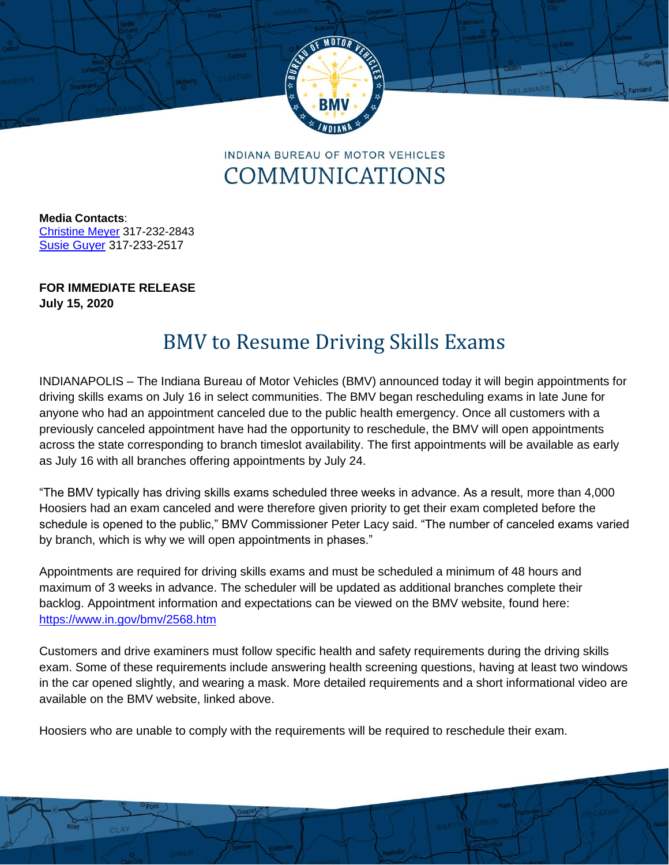

**INDIANA BUREAU OF MOTOR VEHICLES** COMMUNICATIONS

**Media Contacts**: [Christine Meyer](mailto:chmeyer@bmv.in.gov) 317-232-2843 Susie Guyer 317-233-2517

**FOR IMMEDIATE RELEASE July 15, 2020**

## BMV to Resume Driving Skills Exams

INDIANAPOLIS – The Indiana Bureau of Motor Vehicles (BMV) announced today it will begin appointments for driving skills exams on July 16 in select communities. The BMV began rescheduling exams in late June for anyone who had an appointment canceled due to the public health emergency. Once all customers with a previously canceled appointment have had the opportunity to reschedule, the BMV will open appointments across the state corresponding to branch timeslot availability. The first appointments will be available as early as July 16 with all branches offering appointments by July 24.

"The BMV typically has driving skills exams scheduled three weeks in advance. As a result, more than 4,000 Hoosiers had an exam canceled and were therefore given priority to get their exam completed before the schedule is opened to the public," BMV Commissioner Peter Lacy said. "The number of canceled exams varied by branch, which is why we will open appointments in phases."

Appointments are required for driving skills exams and must be scheduled a minimum of 48 hours and maximum of 3 weeks in advance. The scheduler will be updated as additional branches complete their backlog. Appointment information and expectations can be viewed on the BMV website, found here: <https://www.in.gov/bmv/2568.htm>

Customers and drive examiners must follow specific health and safety requirements during the driving skills exam. Some of these requirements include answering health screening questions, having at least two windows in the car opened slightly, and wearing a mask. More detailed requirements and a short informational video are available on the BMV website, linked above.

Hoosiers who are unable to comply with the requirements will be required to reschedule their exam.